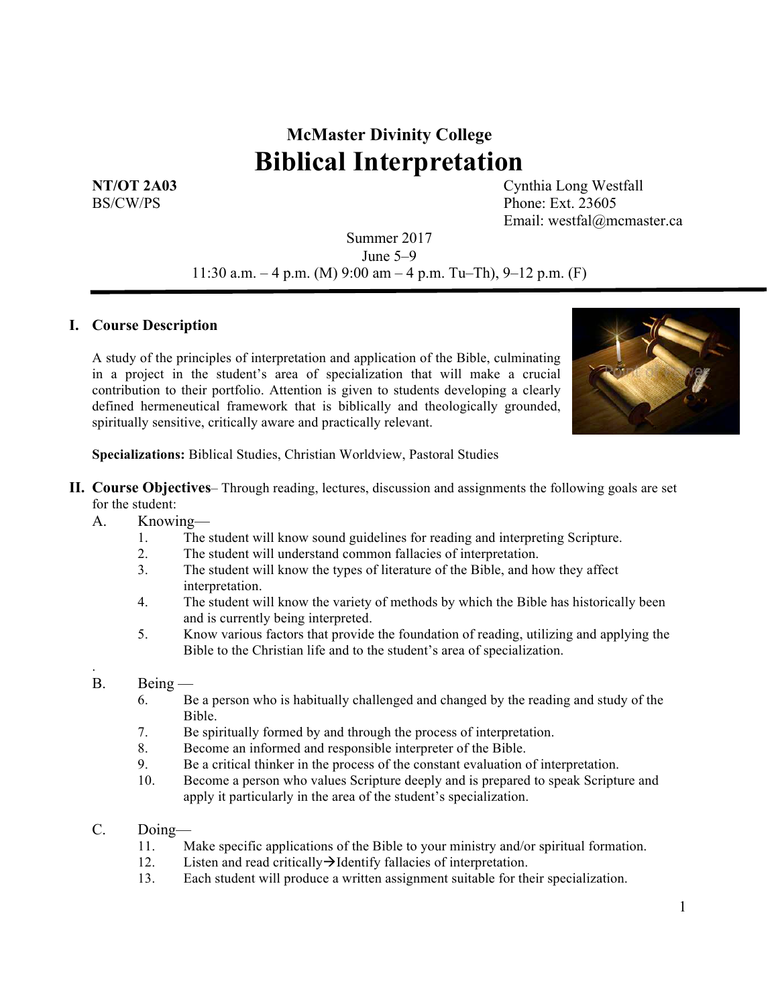# **McMaster Divinity College Biblical Interpretation**

**NT/OT 2A03** Cynthia Long Westfall BS/CW/PS Phone: Ext. 23605 Email: westfal@mcmaster.ca

> Summer 2017 June 5–9 11:30 a.m.  $-4$  p.m. (M) 9:00 am  $-4$  p.m. Tu–Th), 9–12 p.m. (F)

#### **I. Course Description**

A study of the principles of interpretation and application of the Bible, culminating in a project in the student's area of specialization that will make a crucial contribution to their portfolio. Attention is given to students developing a clearly defined hermeneutical framework that is biblically and theologically grounded, spiritually sensitive, critically aware and practically relevant.



**Specializations:** Biblical Studies, Christian Worldview, Pastoral Studies

- **II. Course Objectives** Through reading, lectures, discussion and assignments the following goals are set for the student:
	- A. Knowing—
		- 1. The student will know sound guidelines for reading and interpreting Scripture.
		- 2. The student will understand common fallacies of interpretation.
		- 3. The student will know the types of literature of the Bible, and how they affect interpretation.
		- 4. The student will know the variety of methods by which the Bible has historically been and is currently being interpreted.
		- 5. Know various factors that provide the foundation of reading, utilizing and applying the Bible to the Christian life and to the student's area of specialization.
	- B. Being —

.

- 6. Be a person who is habitually challenged and changed by the reading and study of the Bible.
- 7. Be spiritually formed by and through the process of interpretation.
- 8. Become an informed and responsible interpreter of the Bible.
- 9. Be a critical thinker in the process of the constant evaluation of interpretation.
- 10. Become a person who values Scripture deeply and is prepared to speak Scripture and apply it particularly in the area of the student's specialization.
- C. Doing—
	- 11. Make specific applications of the Bible to your ministry and/or spiritual formation.
	- 12. Listen and read critically  $\rightarrow$ Identify fallacies of interpretation.
	- 13. Each student will produce a written assignment suitable for their specialization.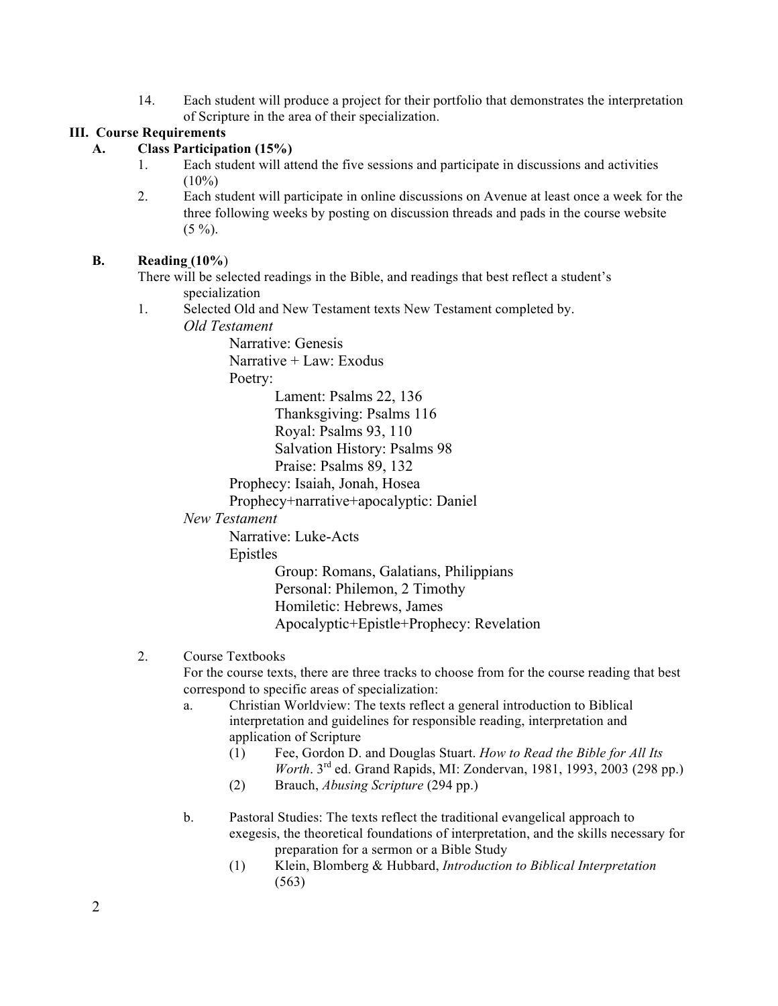14. Each student will produce a project for their portfolio that demonstrates the interpretation of Scripture in the area of their specialization.

## **III. Course Requirements**

## **A. Class Participation (15%)**

- 1. Each student will attend the five sessions and participate in discussions and activities  $(10\%)$
- 2. Each student will participate in online discussions on Avenue at least once a week for the three following weeks by posting on discussion threads and pads in the course website  $(5 \%)$ .

#### **B. Reading (10%**)

There will be selected readings in the Bible, and readings that best reflect a student's specialization

1. Selected Old and New Testament texts New Testament completed by.

*Old Testament*

Narrative: Genesis Narrative + Law: Exodus

Poetry:

Lament: Psalms 22, 136 Thanksgiving: Psalms 116 Royal: Psalms 93, 110 Salvation History: Psalms 98

Praise: Psalms 89, 132

Prophecy: Isaiah, Jonah, Hosea

Prophecy+narrative+apocalyptic: Daniel

## *New Testament*

Narrative: Luke-Acts

Epistles

Group: Romans, Galatians, Philippians Personal: Philemon, 2 Timothy Homiletic: Hebrews, James Apocalyptic+Epistle+Prophecy: Revelation

## 2. Course Textbooks

For the course texts, there are three tracks to choose from for the course reading that best correspond to specific areas of specialization:

- a. Christian Worldview: The texts reflect a general introduction to Biblical interpretation and guidelines for responsible reading, interpretation and application of Scripture
	- (1) Fee, Gordon D. and Douglas Stuart. *How to Read the Bible for All Its Worth*. 3rd ed. Grand Rapids, MI: Zondervan, 1981, 1993, 2003 (298 pp.)
	- (2) Brauch, *Abusing Scripture* (294 pp.)
- b. Pastoral Studies: The texts reflect the traditional evangelical approach to exegesis, the theoretical foundations of interpretation, and the skills necessary for preparation for a sermon or a Bible Study
	- (1) Klein, Blomberg & Hubbard, *Introduction to Biblical Interpretation*  (563)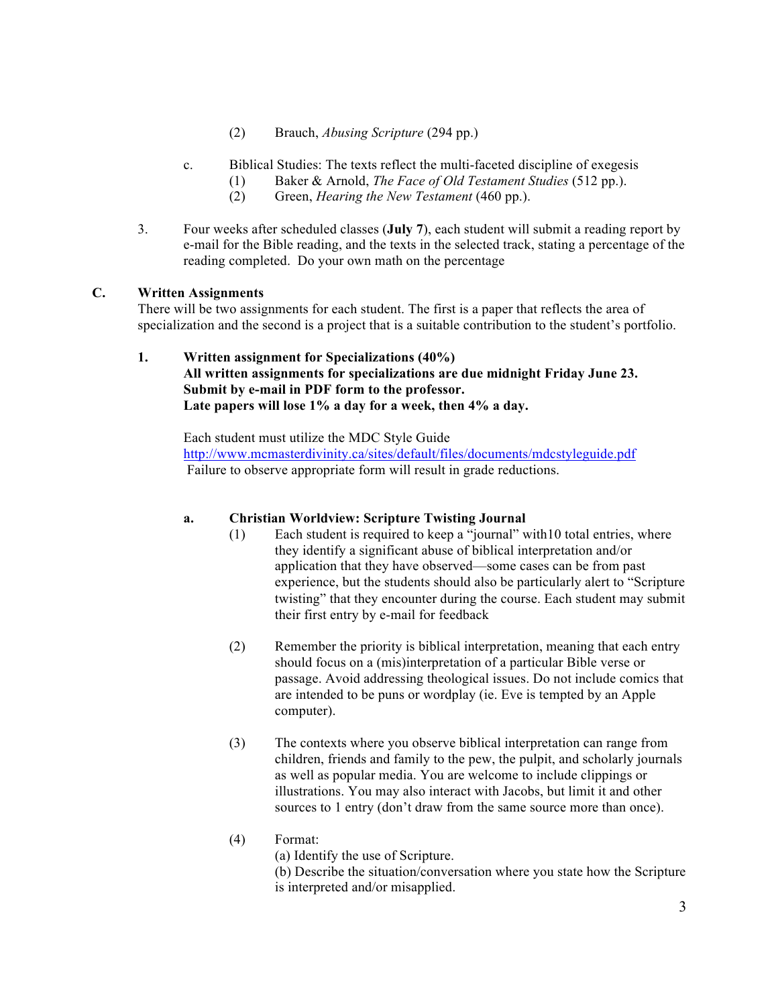- (2) Brauch, *Abusing Scripture* (294 pp.)
- c. Biblical Studies: The texts reflect the multi-faceted discipline of exegesis
	- (1) Baker & Arnold, *The Face of Old Testament Studies* (512 pp.).
	- (2) Green, *Hearing the New Testament* (460 pp.).
- 3. Four weeks after scheduled classes (**July 7**), each student will submit a reading report by e-mail for the Bible reading, and the texts in the selected track, stating a percentage of the reading completed. Do your own math on the percentage

#### **C. Written Assignments**

There will be two assignments for each student. The first is a paper that reflects the area of specialization and the second is a project that is a suitable contribution to the student's portfolio.

**1. Written assignment for Specializations (40%) All written assignments for specializations are due midnight Friday June 23. Submit by e-mail in PDF form to the professor. Late papers will lose 1% a day for a week, then 4% a day.**

Each student must utilize the MDC Style Guide http://www.mcmasterdivinity.ca/sites/default/files/documents/mdcstyleguide.pdf Failure to observe appropriate form will result in grade reductions.

## **a. Christian Worldview: Scripture Twisting Journal**

- (1) Each student is required to keep a "journal" with10 total entries, where they identify a significant abuse of biblical interpretation and/or application that they have observed—some cases can be from past experience, but the students should also be particularly alert to "Scripture twisting" that they encounter during the course. Each student may submit their first entry by e-mail for feedback
- (2) Remember the priority is biblical interpretation, meaning that each entry should focus on a (mis)interpretation of a particular Bible verse or passage. Avoid addressing theological issues. Do not include comics that are intended to be puns or wordplay (ie. Eve is tempted by an Apple computer).
- (3) The contexts where you observe biblical interpretation can range from children, friends and family to the pew, the pulpit, and scholarly journals as well as popular media. You are welcome to include clippings or illustrations. You may also interact with Jacobs, but limit it and other sources to 1 entry (don't draw from the same source more than once).
- (4) Format: (a) Identify the use of Scripture. (b) Describe the situation/conversation where you state how the Scripture is interpreted and/or misapplied.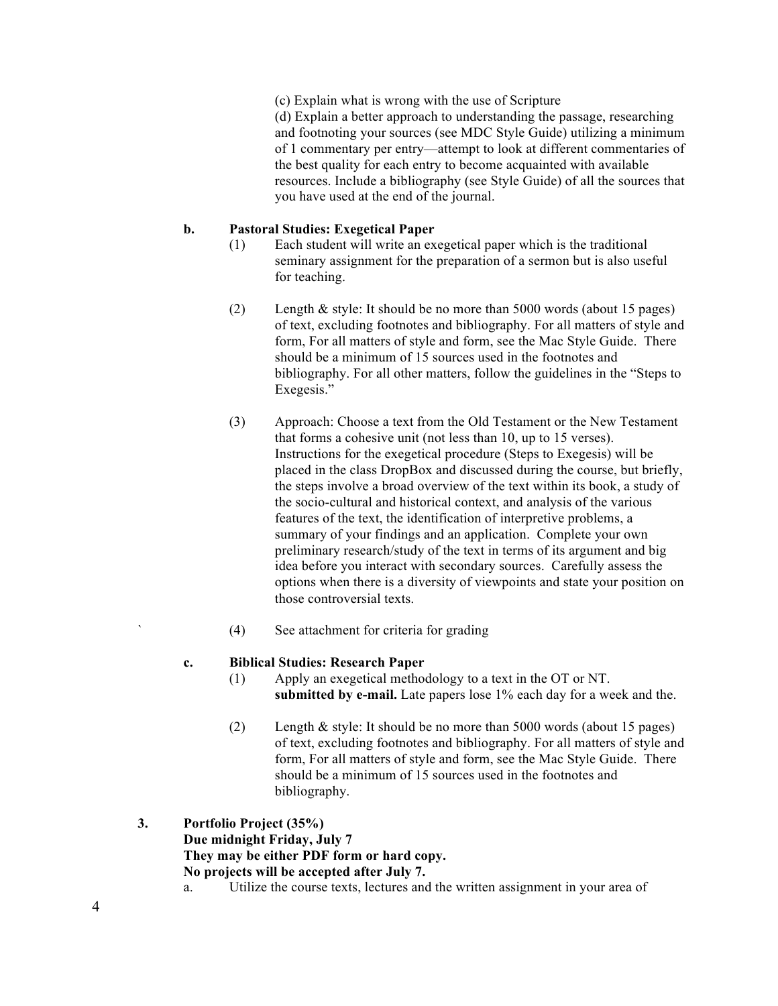(c) Explain what is wrong with the use of Scripture (d) Explain a better approach to understanding the passage, researching

and footnoting your sources (see MDC Style Guide) utilizing a minimum of 1 commentary per entry—attempt to look at different commentaries of the best quality for each entry to become acquainted with available resources. Include a bibliography (see Style Guide) of all the sources that you have used at the end of the journal.

#### **b. Pastoral Studies: Exegetical Paper**

- (1) Each student will write an exegetical paper which is the traditional seminary assignment for the preparation of a sermon but is also useful for teaching.
- (2) Length & style: It should be no more than 5000 words (about 15 pages) of text, excluding footnotes and bibliography. For all matters of style and form, For all matters of style and form, see the Mac Style Guide. There should be a minimum of 15 sources used in the footnotes and bibliography. For all other matters, follow the guidelines in the "Steps to Exegesis."
- (3) Approach: Choose a text from the Old Testament or the New Testament that forms a cohesive unit (not less than 10, up to 15 verses). Instructions for the exegetical procedure (Steps to Exegesis) will be placed in the class DropBox and discussed during the course, but briefly, the steps involve a broad overview of the text within its book, a study of the socio-cultural and historical context, and analysis of the various features of the text, the identification of interpretive problems, a summary of your findings and an application. Complete your own preliminary research/study of the text in terms of its argument and big idea before you interact with secondary sources. Carefully assess the options when there is a diversity of viewpoints and state your position on those controversial texts.
- ` (4) See attachment for criteria for grading

#### **c. Biblical Studies: Research Paper**

- (1) Apply an exegetical methodology to a text in the OT or NT. **submitted by e-mail.** Late papers lose 1% each day for a week and the.
- (2) Length & style: It should be no more than 5000 words (about 15 pages) of text, excluding footnotes and bibliography. For all matters of style and form, For all matters of style and form, see the Mac Style Guide. There should be a minimum of 15 sources used in the footnotes and bibliography.
- **3. Portfolio Project (35%) Due midnight Friday, July 7 They may be either PDF form or hard copy. No projects will be accepted after July 7.**
	- a. Utilize the course texts, lectures and the written assignment in your area of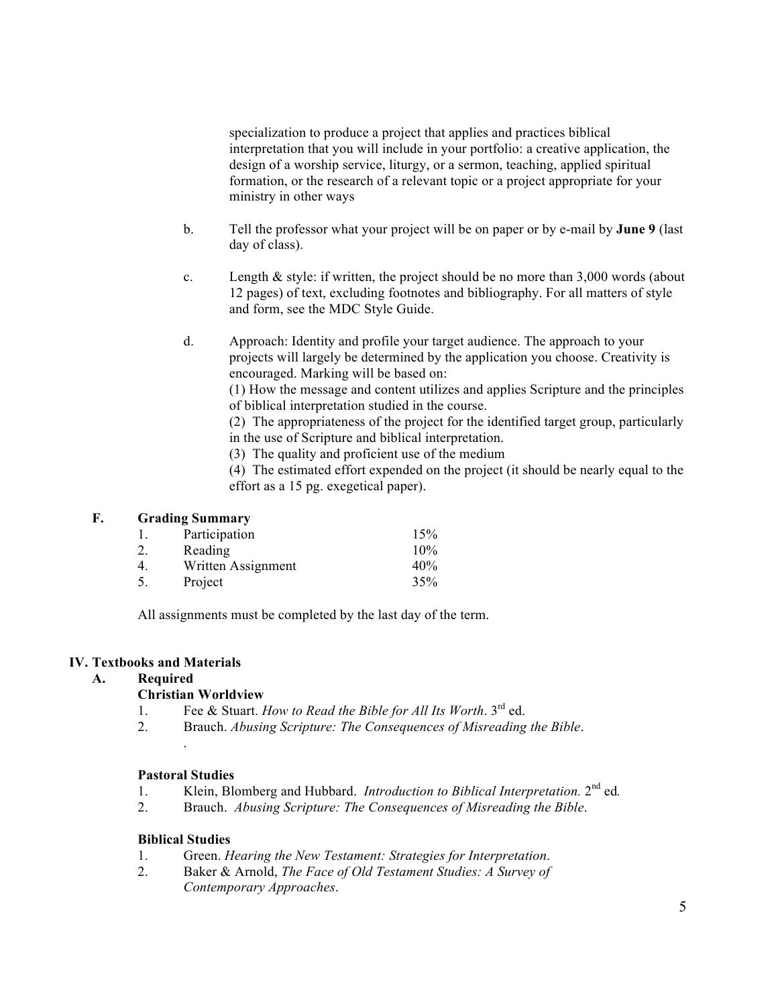specialization to produce a project that applies and practices biblical interpretation that you will include in your portfolio: a creative application, the design of a worship service, liturgy, or a sermon, teaching, applied spiritual formation, or the research of a relevant topic or a project appropriate for your ministry in other ways

- b. Tell the professor what your project will be on paper or by e-mail by **June 9** (last day of class).
- c. Length & style: if written, the project should be no more than 3,000 words (about 12 pages) of text, excluding footnotes and bibliography. For all matters of style and form, see the MDC Style Guide.
- d. Approach: Identity and profile your target audience. The approach to your projects will largely be determined by the application you choose. Creativity is encouraged. Marking will be based on:

(1) How the message and content utilizes and applies Scripture and the principles of biblical interpretation studied in the course.

(2) The appropriateness of the project for the identified target group, particularly in the use of Scripture and biblical interpretation.

(3) The quality and proficient use of the medium

(4) The estimated effort expended on the project (it should be nearly equal to the effort as a 15 pg. exegetical paper).

## **F. Grading Summary**

| Participation      | 15%    |
|--------------------|--------|
| Reading            | $10\%$ |
| Written Assignment | 40%    |
| Project            | 35%    |
|                    |        |

All assignments must be completed by the last day of the term.

#### **IV. Textbooks and Materials**

## **A. Required**

#### **Christian Worldview**

- 1. Fee & Stuart. *How to Read the Bible for All Its Worth*. 3rd ed.
- 2. Brauch. *Abusing Scripture: The Consequences of Misreading the Bible*.

#### **Pastoral Studies**

.

- 1. Klein, Blomberg and Hubbard. *Introduction to Biblical Interpretation.* 2nd ed*.*
- 2. Brauch. *Abusing Scripture: The Consequences of Misreading the Bible*.

#### **Biblical Studies**

- 1. Green. *Hearing the New Testament: Strategies for Interpretation*.
- 2. Baker & Arnold, *The Face of Old Testament Studies: A Survey of Contemporary Approaches*.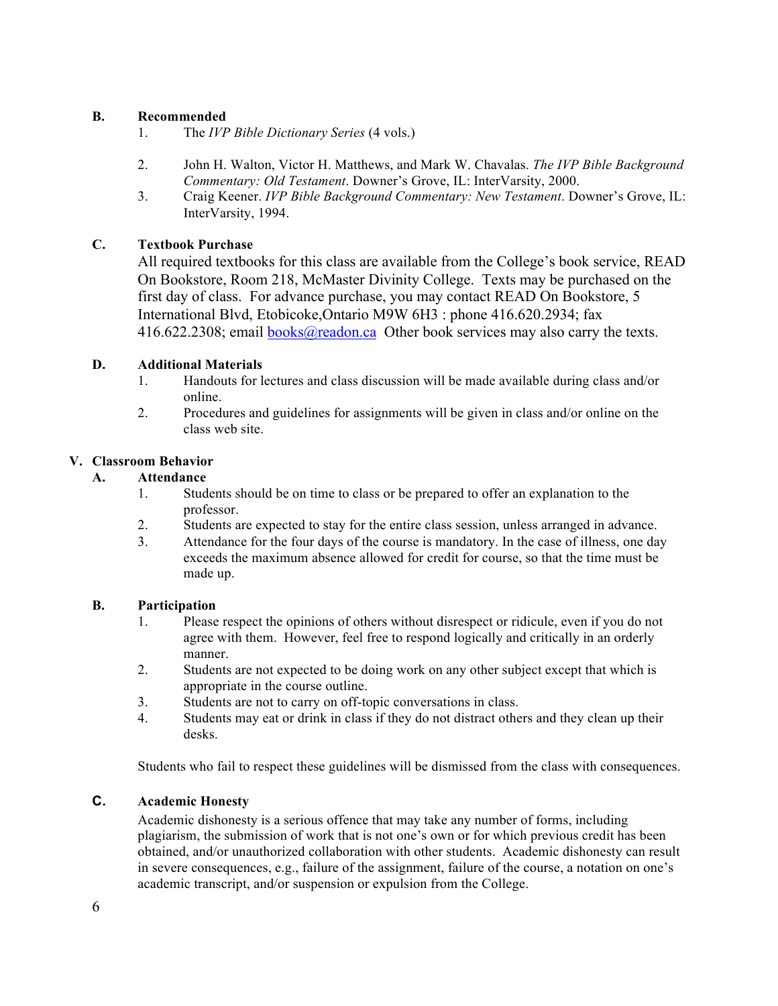#### **B. Recommended**

- 1. The *IVP Bible Dictionary Series* (4 vols.)
- 2. John H. Walton, Victor H. Matthews, and Mark W. Chavalas. *The IVP Bible Background Commentary: Old Testament*. Downer's Grove, IL: InterVarsity, 2000.
- 3. Craig Keener. *IVP Bible Background Commentary: New Testament*. Downer's Grove, IL: InterVarsity, 1994.

#### **C. Textbook Purchase**

All required textbooks for this class are available from the College's book service, READ On Bookstore, Room 218, McMaster Divinity College. Texts may be purchased on the first day of class. For advance purchase, you may contact READ On Bookstore, 5 International Blvd, Etobicoke,Ontario M9W 6H3 : phone 416.620.2934; fax 416.622.2308; email books@readon.ca Other book services may also carry the texts.

#### **D. Additional Materials**

- 1. Handouts for lectures and class discussion will be made available during class and/or online.
- 2. Procedures and guidelines for assignments will be given in class and/or online on the class web site.

#### **V. Classroom Behavior**

#### **A. Attendance**

- 1. Students should be on time to class or be prepared to offer an explanation to the professor.
- 2. Students are expected to stay for the entire class session, unless arranged in advance.
- 3. Attendance for the four days of the course is mandatory. In the case of illness, one day exceeds the maximum absence allowed for credit for course, so that the time must be made up.

#### **B. Participation**

- 1. Please respect the opinions of others without disrespect or ridicule, even if you do not agree with them. However, feel free to respond logically and critically in an orderly manner.
- 2. Students are not expected to be doing work on any other subject except that which is appropriate in the course outline.
- 3. Students are not to carry on off-topic conversations in class.
- 4. Students may eat or drink in class if they do not distract others and they clean up their desks.

Students who fail to respect these guidelines will be dismissed from the class with consequences.

#### **C. Academic Honesty**

Academic dishonesty is a serious offence that may take any number of forms, including plagiarism, the submission of work that is not one's own or for which previous credit has been obtained, and/or unauthorized collaboration with other students. Academic dishonesty can result in severe consequences, e.g., failure of the assignment, failure of the course, a notation on one's academic transcript, and/or suspension or expulsion from the College.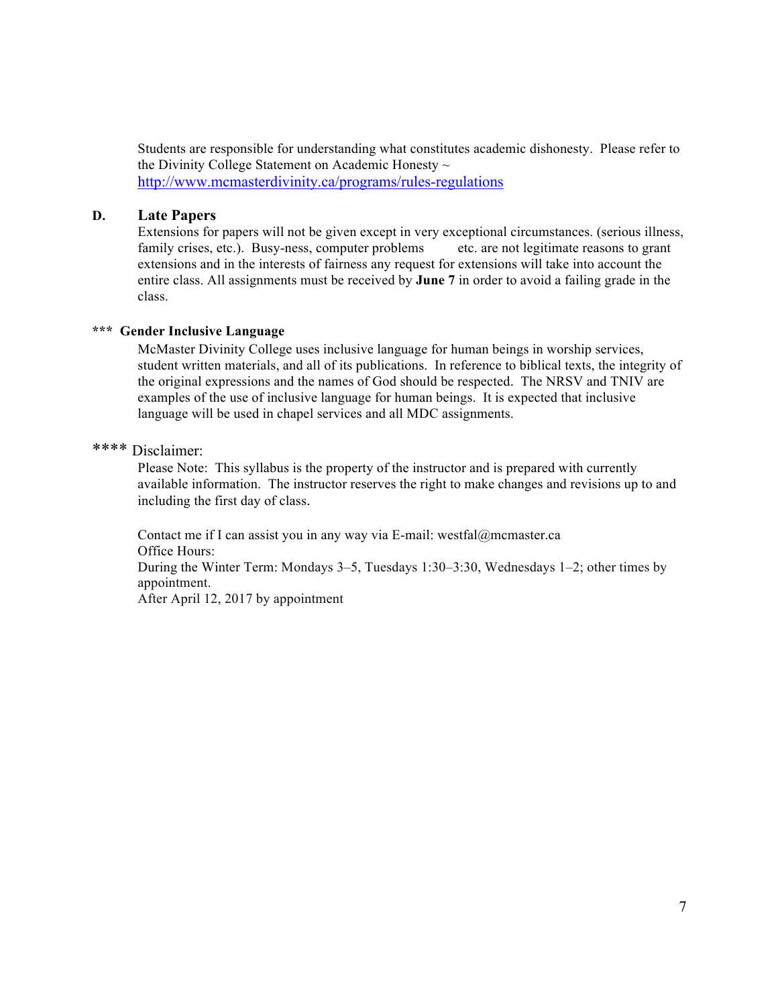Students are responsible for understanding what constitutes academic dishonesty. Please refer to the Divinity College Statement on Academic Honesty ~ http://www.mcmasterdivinity.ca/programs/rules-regulations

#### **D. Late Papers**

Extensions for papers will not be given except in very exceptional circumstances. (serious illness, family crises, etc.). Busy-ness, computer problems etc. are not legitimate reasons to grant extensions and in the interests of fairness any request for extensions will take into account the entire class. All assignments must be received by **June 7** in order to avoid a failing grade in the class.

#### **\*\*\* Gender Inclusive Language**

McMaster Divinity College uses inclusive language for human beings in worship services, student written materials, and all of its publications. In reference to biblical texts, the integrity of the original expressions and the names of God should be respected. The NRSV and TNIV are examples of the use of inclusive language for human beings. It is expected that inclusive language will be used in chapel services and all MDC assignments.

## \*\*\*\* Disclaimer:

Please Note: This syllabus is the property of the instructor and is prepared with currently available information. The instructor reserves the right to make changes and revisions up to and including the first day of class.

Contact me if I can assist you in any way via E-mail: westfal@mcmaster.ca Office Hours: During the Winter Term: Mondays 3–5, Tuesdays 1:30–3:30, Wednesdays 1–2; other times by appointment. After April 12, 2017 by appointment